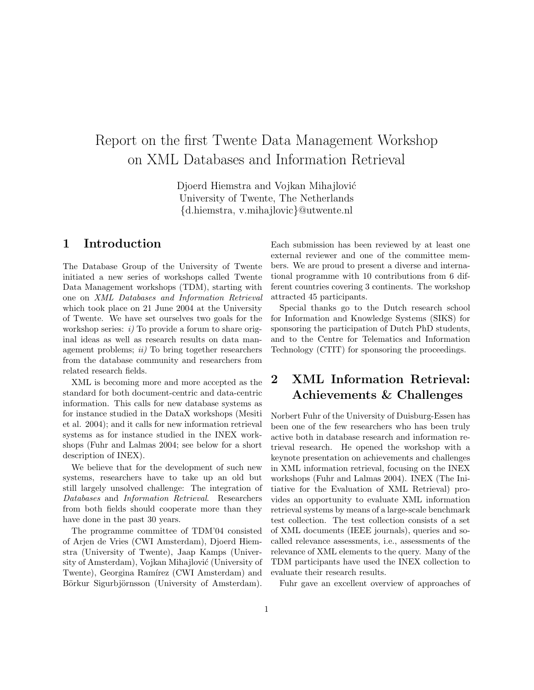# Report on the first Twente Data Management Workshop on XML Databases and Information Retrieval

Djoerd Hiemstra and Vojkan Mihajlović University of Twente, The Netherlands {d.hiemstra, v.mihajlovic}@utwente.nl

#### 1 Introduction

The Database Group of the University of Twente initiated a new series of workshops called Twente Data Management workshops (TDM), starting with one on XML Databases and Information Retrieval which took place on 21 June 2004 at the University of Twente. We have set ourselves two goals for the workshop series:  $i$ ) To provide a forum to share original ideas as well as research results on data management problems;  $ii)$  To bring together researchers from the database community and researchers from related research fields.

XML is becoming more and more accepted as the standard for both document-centric and data-centric information. This calls for new database systems as for instance studied in the DataX workshops (Mesiti et al. 2004); and it calls for new information retrieval systems as for instance studied in the INEX workshops (Fuhr and Lalmas 2004; see below for a short description of INEX).

We believe that for the development of such new systems, researchers have to take up an old but still largely unsolved challenge: The integration of Databases and Information Retrieval. Researchers from both fields should cooperate more than they have done in the past 30 years.

The programme committee of TDM'04 consisted of Arjen de Vries (CWI Amsterdam), Djoerd Hiemstra (University of Twente), Jaap Kamps (University of Amsterdam), Vojkan Mihajlović (University of Twente), Georgina Ramírez (CWI Amsterdam) and Börkur Sigurbjörnsson (University of Amsterdam).

Each submission has been reviewed by at least one external reviewer and one of the committee members. We are proud to present a diverse and international programme with 10 contributions from 6 different countries covering 3 continents. The workshop attracted 45 participants.

Special thanks go to the Dutch research school for Information and Knowledge Systems (SIKS) for sponsoring the participation of Dutch PhD students, and to the Centre for Telematics and Information Technology (CTIT) for sponsoring the proceedings.

# 2 XML Information Retrieval: Achievements & Challenges

Norbert Fuhr of the University of Duisburg-Essen has been one of the few researchers who has been truly active both in database research and information retrieval research. He opened the workshop with a keynote presentation on achievements and challenges in XML information retrieval, focusing on the INEX workshops (Fuhr and Lalmas 2004). INEX (The Initiative for the Evaluation of XML Retrieval) provides an opportunity to evaluate XML information retrieval systems by means of a large-scale benchmark test collection. The test collection consists of a set of XML documents (IEEE journals), queries and socalled relevance assessments, i.e., assessments of the relevance of XML elements to the query. Many of the TDM participants have used the INEX collection to evaluate their research results.

Fuhr gave an excellent overview of approaches of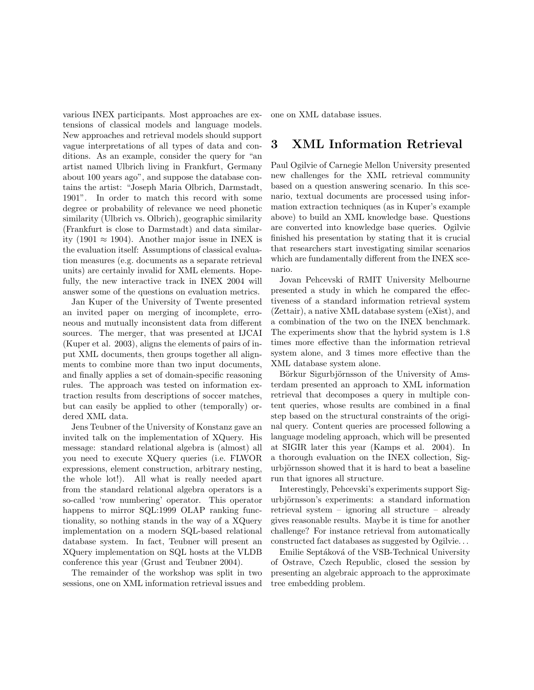various INEX participants. Most approaches are extensions of classical models and language models. New approaches and retrieval models should support vague interpretations of all types of data and conditions. As an example, consider the query for "an artist named Ulbrich living in Frankfurt, Germany about 100 years ago", and suppose the database contains the artist: "Joseph Maria Olbrich, Darmstadt, 1901". In order to match this record with some degree or probability of relevance we need phonetic similarity (Ulbrich vs. Olbrich), geographic similarity (Frankfurt is close to Darmstadt) and data similarity (1901 ≈ 1904). Another major issue in INEX is the evaluation itself: Assumptions of classical evaluation measures (e.g. documents as a separate retrieval units) are certainly invalid for XML elements. Hopefully, the new interactive track in INEX 2004 will answer some of the questions on evaluation metrics.

Jan Kuper of the University of Twente presented an invited paper on merging of incomplete, erroneous and mutually inconsistent data from different sources. The merger, that was presented at IJCAI (Kuper et al. 2003), aligns the elements of pairs of input XML documents, then groups together all alignments to combine more than two input documents, and finally applies a set of domain-specific reasoning rules. The approach was tested on information extraction results from descriptions of soccer matches, but can easily be applied to other (temporally) ordered XML data.

Jens Teubner of the University of Konstanz gave an invited talk on the implementation of XQuery. His message: standard relational algebra is (almost) all you need to execute XQuery queries (i.e. FLWOR expressions, element construction, arbitrary nesting, the whole lot!). All what is really needed apart from the standard relational algebra operators is a so-called 'row numbering' operator. This operator happens to mirror SQL:1999 OLAP ranking functionality, so nothing stands in the way of a XQuery implementation on a modern SQL-based relational database system. In fact, Teubner will present an XQuery implementation on SQL hosts at the VLDB conference this year (Grust and Teubner 2004).

The remainder of the workshop was split in two sessions, one on XML information retrieval issues and

one on XML database issues.

## 3 XML Information Retrieval

Paul Ogilvie of Carnegie Mellon University presented new challenges for the XML retrieval community based on a question answering scenario. In this scenario, textual documents are processed using information extraction techniques (as in Kuper's example above) to build an XML knowledge base. Questions are converted into knowledge base queries. Ogilvie finished his presentation by stating that it is crucial that researchers start investigating similar scenarios which are fundamentally different from the INEX scenario.

Jovan Pehcevski of RMIT University Melbourne presented a study in which he compared the effectiveness of a standard information retrieval system (Zettair), a native XML database system (eXist), and a combination of the two on the INEX benchmark. The experiments show that the hybrid system is 1.8 times more effective than the information retrieval system alone, and 3 times more effective than the XML database system alone.

Börkur Sigurbjörnsson of the University of Amsterdam presented an approach to XML information retrieval that decomposes a query in multiple content queries, whose results are combined in a final step based on the structural constraints of the original query. Content queries are processed following a language modeling approach, which will be presented at SIGIR later this year (Kamps et al. 2004). In a thorough evaluation on the INEX collection, Sigurbjörnsson showed that it is hard to beat a baseline run that ignores all structure.

Interestingly, Pehcevski's experiments support Sigurbjörnsson's experiments: a standard information retrieval system – ignoring all structure – already gives reasonable results. Maybe it is time for another challenge? For instance retrieval from automatically constructed fact databases as suggested by Ogilvie. . .

Emilie Septáková of the VSB-Technical University of Ostrave, Czech Republic, closed the session by presenting an algebraic approach to the approximate tree embedding problem.